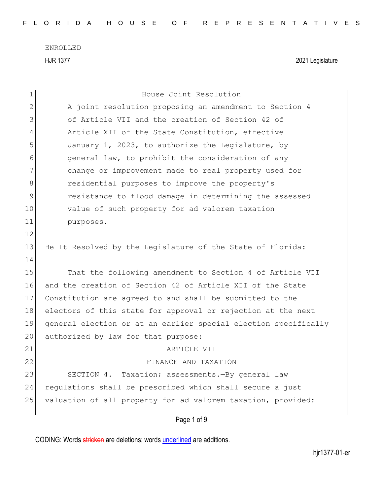| 1            | House Joint Resolution                                          |
|--------------|-----------------------------------------------------------------|
| $\mathbf{2}$ | A joint resolution proposing an amendment to Section 4          |
| 3            | of Article VII and the creation of Section 42 of                |
| 4            | Article XII of the State Constitution, effective                |
| 5            | January 1, 2023, to authorize the Legislature, by               |
| 6            | general law, to prohibit the consideration of any               |
| 7            | change or improvement made to real property used for            |
| $\,8\,$      | residential purposes to improve the property's                  |
| $\mathsf 9$  | resistance to flood damage in determining the assessed          |
| 10           | value of such property for ad valorem taxation                  |
| 11           | purposes.                                                       |
| 12           |                                                                 |
| 13           | Be It Resolved by the Legislature of the State of Florida:      |
| 14           |                                                                 |
| 15           | That the following amendment to Section 4 of Article VII        |
| 16           | and the creation of Section 42 of Article XII of the State      |
| 17           | Constitution are agreed to and shall be submitted to the        |
| 18           | electors of this state for approval or rejection at the next    |
| 19           | general election or at an earlier special election specifically |
| 20           | authorized by law for that purpose:                             |
| 21           | ARTICLE VII                                                     |
| 22           | FINANCE AND TAXATION                                            |
| 23           | Taxation; assessments. - By general law<br>SECTION 4.           |
| 24           | regulations shall be prescribed which shall secure a just       |
| 25           | valuation of all property for ad valorem taxation, provided:    |
|              | Page 1 of 9                                                     |
|              |                                                                 |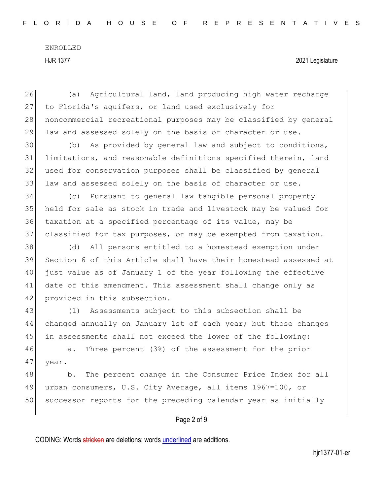26 (a) Agricultural land, land producing high water recharge 27 to Florida's aquifers, or land used exclusively for 28 noncommercial recreational purposes may be classified by general 29 law and assessed solely on the basis of character or use.

30 (b) As provided by general law and subject to conditions, 31 limitations, and reasonable definitions specified therein, land 32 used for conservation purposes shall be classified by general 33 law and assessed solely on the basis of character or use.

 (c) Pursuant to general law tangible personal property held for sale as stock in trade and livestock may be valued for taxation at a specified percentage of its value, may be 37 classified for tax purposes, or may be exempted from taxation.

 (d) All persons entitled to a homestead exemption under Section 6 of this Article shall have their homestead assessed at just value as of January 1 of the year following the effective date of this amendment. This assessment shall change only as 42 provided in this subsection.

43 (1) Assessments subject to this subsection shall be 44 changed annually on January 1st of each year; but those changes 45 in assessments shall not exceed the lower of the following:

46 a. Three percent (3%) of the assessment for the prior 47 year.

48 b. The percent change in the Consumer Price Index for all 49 urban consumers, U.S. City Average, all items 1967=100, or 50 successor reports for the preceding calendar year as initially

# Page 2 of 9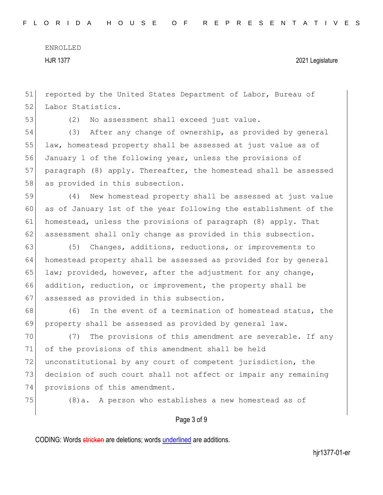51 reported by the United States Department of Labor, Bureau of 52 Labor Statistics.

53 (2) No assessment shall exceed just value.

54 (3) After any change of ownership, as provided by general 55 law, homestead property shall be assessed at just value as of 56 January 1 of the following year, unless the provisions of 57 paragraph (8) apply. Thereafter, the homestead shall be assessed 58 as provided in this subsection.

59 (4) New homestead property shall be assessed at just value 60 as of January 1st of the year following the establishment of the 61 homestead, unless the provisions of paragraph (8) apply. That 62 assessment shall only change as provided in this subsection.

63 (5) Changes, additions, reductions, or improvements to 64 homestead property shall be assessed as provided for by general 65 law; provided, however, after the adjustment for any change, 66 addition, reduction, or improvement, the property shall be 67 assessed as provided in this subsection.

68 (6) In the event of a termination of homestead status, the 69 property shall be assessed as provided by general law.

70 (7) The provisions of this amendment are severable. If any 71 of the provisions of this amendment shall be held 72 unconstitutional by any court of competent jurisdiction, the 73 decision of such court shall not affect or impair any remaining 74 provisions of this amendment.

75 (8)a. A person who establishes a new homestead as of

# Page 3 of 9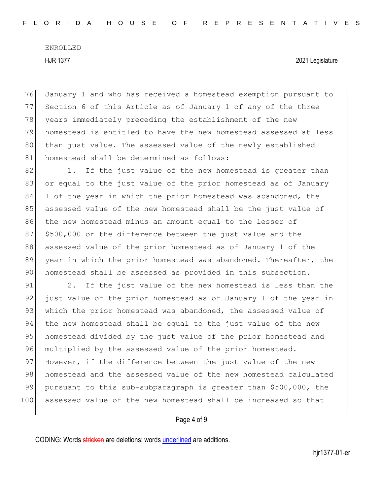76 January 1 and who has received a homestead exemption pursuant to 77 Section 6 of this Article as of January 1 of any of the three 78 years immediately preceding the establishment of the new 79 homestead is entitled to have the new homestead assessed at less 80 than just value. The assessed value of the newly established 81 homestead shall be determined as follows:

82 1. If the just value of the new homestead is greater than 83 or equal to the just value of the prior homestead as of January 84 1 of the year in which the prior homestead was abandoned, the 85 assessed value of the new homestead shall be the just value of 86 the new homestead minus an amount equal to the lesser of 87 \$500,000 or the difference between the just value and the 88 assessed value of the prior homestead as of January 1 of the 89 year in which the prior homestead was abandoned. Thereafter, the 90 homestead shall be assessed as provided in this subsection.

91 2. If the just value of the new homestead is less than the 92 just value of the prior homestead as of January 1 of the year in 93 which the prior homestead was abandoned, the assessed value of 94 the new homestead shall be equal to the just value of the new 95 homestead divided by the just value of the prior homestead and 96 multiplied by the assessed value of the prior homestead. 97 However, if the difference between the just value of the new 98 homestead and the assessed value of the new homestead calculated 99 pursuant to this sub-subparagraph is greater than \$500,000, the 100 assessed value of the new homestead shall be increased so that

# Page 4 of 9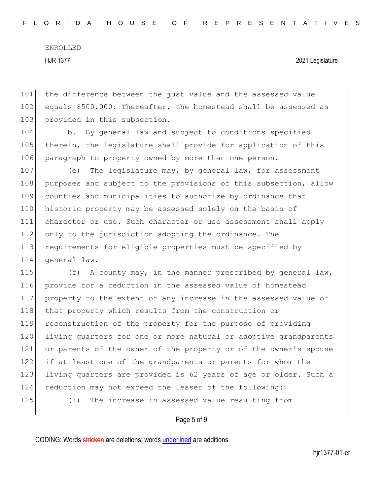101 the difference between the just value and the assessed value 102 equals \$500,000. Thereafter, the homestead shall be assessed as 103 provided in this subsection.

104 b. By general law and subject to conditions specified 105 therein, the legislature shall provide for application of this 106 paragraph to property owned by more than one person.

107 (e) The legislature may, by general law, for assessment 108 purposes and subject to the provisions of this subsection, allow 109 counties and municipalities to authorize by ordinance that 110 historic property may be assessed solely on the basis of 111 character or use. Such character or use assessment shall apply 112 only to the jurisdiction adopting the ordinance. The 113 requirements for eligible properties must be specified by 114 general law.

115 (f) A county may, in the manner prescribed by general law, 116 provide for a reduction in the assessed value of homestead 117 property to the extent of any increase in the assessed value of 118 that property which results from the construction or 119 reconstruction of the property for the purpose of providing 120 living quarters for one or more natural or adoptive grandparents 121 or parents of the owner of the property or of the owner's spouse 122 if at least one of the grandparents or parents for whom the 123 living quarters are provided is 62 years of age or older. Such a 124 reduction may not exceed the lesser of the following: 125 (1) The increase in assessed value resulting from

#### Page 5 of 9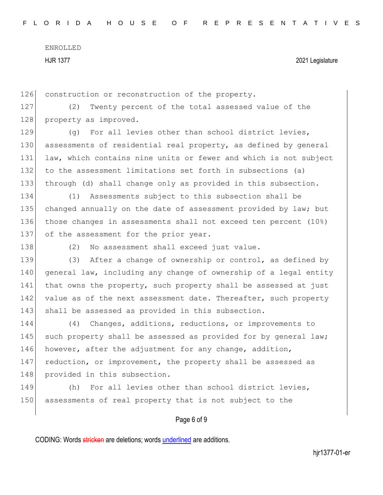126 construction or reconstruction of the property.

127 (2) Twenty percent of the total assessed value of the 128 property as improved.

129 (g) For all levies other than school district levies, 130 assessments of residential real property, as defined by general 131 law, which contains nine units or fewer and which is not subject 132 to the assessment limitations set forth in subsections (a) 133 through (d) shall change only as provided in this subsection.

134 (1) Assessments subject to this subsection shall be 135 changed annually on the date of assessment provided by law; but 136 those changes in assessments shall not exceed ten percent (10%) 137 of the assessment for the prior year.

138 (2) No assessment shall exceed just value.

139 (3) After a change of ownership or control, as defined by 140 general law, including any change of ownership of a legal entity 141 that owns the property, such property shall be assessed at just 142 value as of the next assessment date. Thereafter, such property 143 shall be assessed as provided in this subsection.

144 (4) Changes, additions, reductions, or improvements to 145 such property shall be assessed as provided for by general law; 146 however, after the adjustment for any change, addition, 147 reduction, or improvement, the property shall be assessed as 148 provided in this subsection.

149 (h) For all levies other than school district levies, 150 assessments of real property that is not subject to the

# Page 6 of 9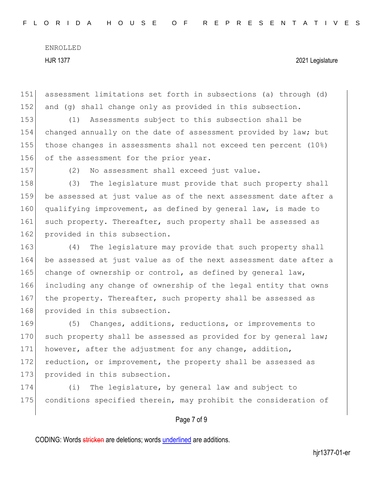151 assessment limitations set forth in subsections (a) through (d) 152 and (g) shall change only as provided in this subsection.

 (1) Assessments subject to this subsection shall be changed annually on the date of assessment provided by law; but those changes in assessments shall not exceed ten percent (10%) 156 of the assessment for the prior year.

157 (2) No assessment shall exceed just value.

158 (3) The legislature must provide that such property shall 159 be assessed at just value as of the next assessment date after a 160 qualifying improvement, as defined by general law, is made to 161 such property. Thereafter, such property shall be assessed as 162 provided in this subsection.

163 (4) The legislature may provide that such property shall 164 be assessed at just value as of the next assessment date after a 165 change of ownership or control, as defined by general law, 166 including any change of ownership of the legal entity that owns 167 the property. Thereafter, such property shall be assessed as 168 provided in this subsection.

169 (5) Changes, additions, reductions, or improvements to 170 such property shall be assessed as provided for by general law; 171 however, after the adjustment for any change, addition, 172 reduction, or improvement, the property shall be assessed as 173 provided in this subsection.

174 (i) The legislature, by general law and subject to 175 conditions specified therein, may prohibit the consideration of

# Page 7 of 9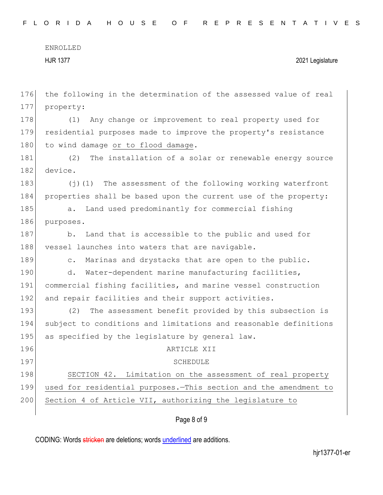F L O R I D A H O U S E O F R E P R E S E N T A T I V E S

ENROLLED HJR 1377 2021 Legislature

| 176 | the following in the determination of the assessed value of real |
|-----|------------------------------------------------------------------|
| 177 | property:                                                        |
| 178 | Any change or improvement to real property used for<br>(1)       |
| 179 | residential purposes made to improve the property's resistance   |
| 180 | to wind damage or to flood damage.                               |
| 181 | The installation of a solar or renewable energy source<br>(2)    |
| 182 | device.                                                          |
| 183 | $(j)$ (1) The assessment of the following working waterfront     |
| 184 | properties shall be based upon the current use of the property:  |
| 185 | Land used predominantly for commercial fishing<br>$a$ .          |
| 186 | purposes.                                                        |
| 187 | Land that is accessible to the public and used for<br>b.         |
| 188 | vessel launches into waters that are navigable.                  |
| 189 | Marinas and drystacks that are open to the public.<br>$\circ$ .  |
| 190 | Water-dependent marine manufacturing facilities,<br>d.           |
| 191 | commercial fishing facilities, and marine vessel construction    |
| 192 | and repair facilities and their support activities.              |
| 193 | (2)<br>The assessment benefit provided by this subsection is     |
| 194 | subject to conditions and limitations and reasonable definitions |
| 195 | as specified by the legislature by general law.                  |
| 196 | ARTICLE XII                                                      |
| 197 | SCHEDULE                                                         |
| 198 | SECTION 42. Limitation on the assessment of real property        |
| 199 | used for residential purposes. This section and the amendment to |
| 200 | Section 4 of Article VII, authorizing the legislature to         |
|     |                                                                  |

# Page 8 of 9